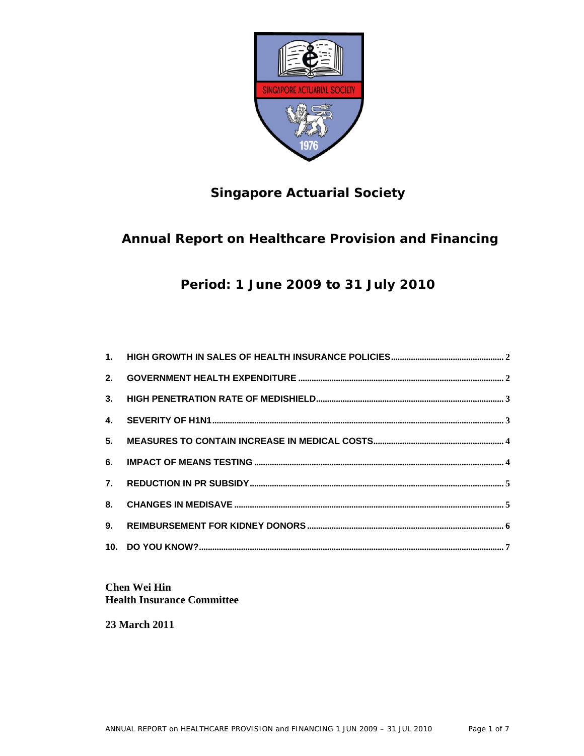

# **Singapore Actuarial Society**

# **Annual Report on Healthcare Provision and Financing**

**Period: 1 June 2009 to 31 July 2010** 

**Chen Wei Hin Health Insurance Committee** 

**23 March 2011**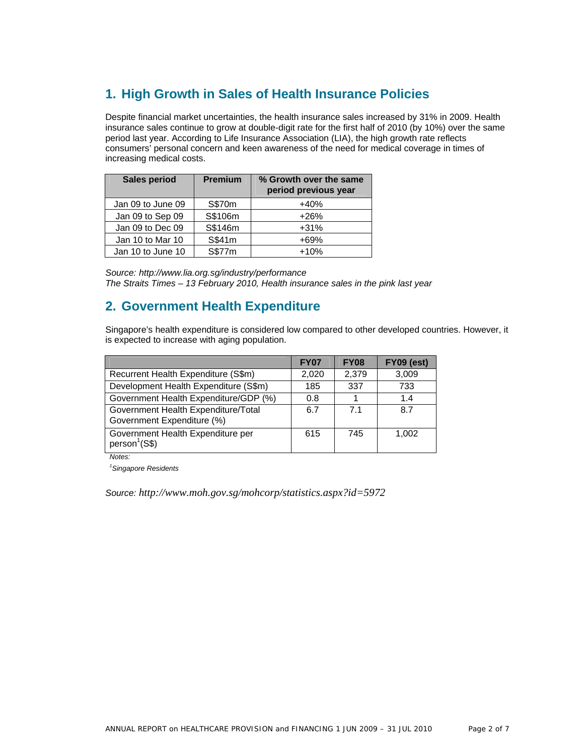# **1. High Growth in Sales of Health Insurance Policies**

Despite financial market uncertainties, the health insurance sales increased by 31% in 2009. Health insurance sales continue to grow at double-digit rate for the first half of 2010 (by 10%) over the same period last year. According to Life Insurance Association (LIA), the high growth rate reflects consumers' personal concern and keen awareness of the need for medical coverage in times of increasing medical costs.

| Sales period      | <b>Premium</b> | % Growth over the same<br>period previous year |
|-------------------|----------------|------------------------------------------------|
| Jan 09 to June 09 | S\$70m         | $+40%$                                         |
| Jan 09 to Sep 09  | S\$106m        | $+26%$                                         |
| Jan 09 to Dec 09  | S\$146m        | $+31%$                                         |
| Jan 10 to Mar 10  | S\$41m         | $+69%$                                         |
| Jan 10 to June 10 | S\$77m         | $+10%$                                         |

*Source: http://www.lia.org.sg/industry/performance The Straits Times – 13 February 2010, Health insurance sales in the pink last year* 

### **2. Government Health Expenditure**

Singapore's health expenditure is considered low compared to other developed countries. However, it is expected to increase with aging population.

|                                                                   | <b>FY07</b> | <b>FY08</b>    | <b>FY09 (est)</b> |
|-------------------------------------------------------------------|-------------|----------------|-------------------|
| Recurrent Health Expenditure (S\$m)                               | 2,020       | 2,379          | 3,009             |
| Development Health Expenditure (S\$m)                             | 185         | 337            | 733               |
| Government Health Expenditure/GDP (%)                             | 0.8         |                | 1.4               |
| Government Health Expenditure/Total<br>Government Expenditure (%) | 6.7         | 7 <sub>1</sub> | 8.7               |
| Government Health Expenditure per<br>person <sup>1</sup> (S\$)    | 615         | 745            | 1.002             |

*Notes:* 

*1 Singapore Residents* 

*Source: http://www.moh.gov.sg/mohcorp/statistics.aspx?id=5972*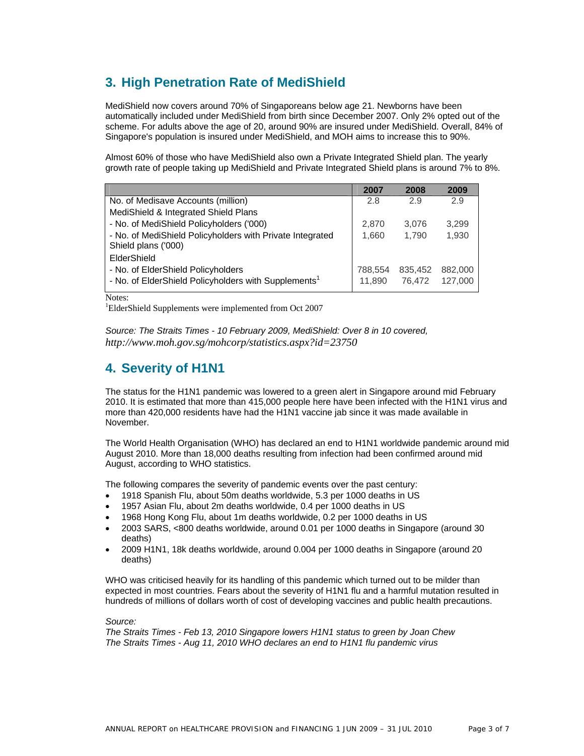# **3. High Penetration Rate of MediShield**

MediShield now covers around 70% of Singaporeans below age 21. Newborns have been automatically included under MediShield from birth since December 2007. Only 2% opted out of the scheme. For adults above the age of 20, around 90% are insured under MediShield. Overall, 84% of Singapore's population is insured under MediShield, and MOH aims to increase this to 90%.

Almost 60% of those who have MediShield also own a Private Integrated Shield plan. The yearly growth rate of people taking up MediShield and Private Integrated Shield plans is around 7% to 8%.

|                                                                                  | 2007    | 2008    | 2009    |
|----------------------------------------------------------------------------------|---------|---------|---------|
| No. of Medisave Accounts (million)                                               | 2.8     | 2.9     | 2.9     |
| MediShield & Integrated Shield Plans                                             |         |         |         |
| - No. of MediShield Policyholders ('000)                                         | 2.870   | 3.076   | 3,299   |
| - No. of MediShield Policyholders with Private Integrated<br>Shield plans ('000) | 1,660   | 1.790   | 1,930   |
| ElderShield                                                                      |         |         |         |
| - No. of ElderShield Policyholders                                               | 788.554 | 835.452 | 882,000 |
| - No. of ElderShield Policyholders with Supplements <sup>1</sup>                 | 11.890  | 76.472  | 127,000 |

Notes:

1 ElderShield Supplements were implemented from Oct 2007

*Source: The Straits Times - 10 February 2009, MediShield: Over 8 in 10 covered, http://www.moh.gov.sg/mohcorp/statistics.aspx?id=23750* 

### **4. Severity of H1N1**

The status for the H1N1 pandemic was lowered to a green alert in Singapore around mid February 2010. It is estimated that more than 415,000 people here have been infected with the H1N1 virus and more than 420,000 residents have had the H1N1 vaccine jab since it was made available in November.

The World Health Organisation (WHO) has declared an end to H1N1 worldwide pandemic around mid August 2010. More than 18,000 deaths resulting from infection had been confirmed around mid August, according to WHO statistics.

The following compares the severity of pandemic events over the past century:

- 1918 Spanish Flu, about 50m deaths worldwide, 5.3 per 1000 deaths in US
- 1957 Asian Flu, about 2m deaths worldwide, 0.4 per 1000 deaths in US
- 1968 Hong Kong Flu, about 1m deaths worldwide, 0.2 per 1000 deaths in US
- 2003 SARS, <800 deaths worldwide, around 0.01 per 1000 deaths in Singapore (around 30 deaths)
- 2009 H1N1, 18k deaths worldwide, around 0.004 per 1000 deaths in Singapore (around 20 deaths)

WHO was criticised heavily for its handling of this pandemic which turned out to be milder than expected in most countries. Fears about the severity of H1N1 flu and a harmful mutation resulted in hundreds of millions of dollars worth of cost of developing vaccines and public health precautions.

### *Source:*

*The Straits Times - Feb 13, 2010 Singapore lowers H1N1 status to green by Joan Chew The Straits Times - Aug 11, 2010 WHO declares an end to H1N1 flu pandemic virus*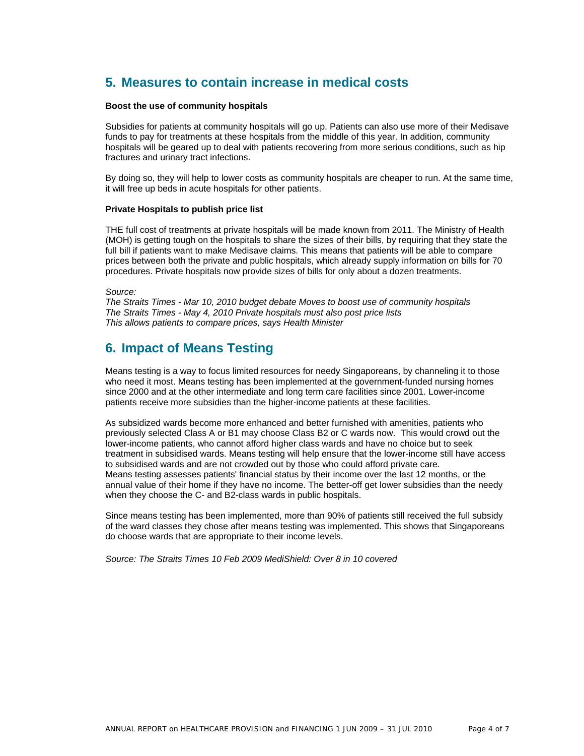## **5. Measures to contain increase in medical costs**

### **Boost the use of community hospitals**

Subsidies for patients at community hospitals will go up. Patients can also use more of their Medisave funds to pay for treatments at these hospitals from the middle of this year. In addition, community hospitals will be geared up to deal with patients recovering from more serious conditions, such as hip fractures and urinary tract infections.

By doing so, they will help to lower costs as community hospitals are cheaper to run. At the same time, it will free up beds in acute hospitals for other patients.

#### **Private Hospitals to publish price list**

THE full cost of treatments at private hospitals will be made known from 2011. The Ministry of Health (MOH) is getting tough on the hospitals to share the sizes of their bills, by requiring that they state the full bill if patients want to make Medisave claims. This means that patients will be able to compare prices between both the private and public hospitals, which already supply information on bills for 70 procedures. Private hospitals now provide sizes of bills for only about a dozen treatments.

*Source:* 

*The Straits Times - Mar 10, 2010 budget debate Moves to boost use of community hospitals The Straits Times - May 4, 2010 Private hospitals must also post price lists This allows patients to compare prices, says Health Minister* 

### **6. Impact of Means Testing**

Means testing is a way to focus limited resources for needy Singaporeans, by channeling it to those who need it most. Means testing has been implemented at the government-funded nursing homes since 2000 and at the other intermediate and long term care facilities since 2001. Lower-income patients receive more subsidies than the higher-income patients at these facilities.

As subsidized wards become more enhanced and better furnished with amenities, patients who previously selected Class A or B1 may choose Class B2 or C wards now. This would crowd out the lower-income patients, who cannot afford higher class wards and have no choice but to seek treatment in subsidised wards. Means testing will help ensure that the lower-income still have access to subsidised wards and are not crowded out by those who could afford private care. Means testing assesses patients' financial status by their income over the last 12 months, or the annual value of their home if they have no income. The better-off get lower subsidies than the needy when they choose the C- and B2-class wards in public hospitals.

Since means testing has been implemented, more than 90% of patients still received the full subsidy of the ward classes they chose after means testing was implemented. This shows that Singaporeans do choose wards that are appropriate to their income levels.

*Source: The Straits Times 10 Feb 2009 MediShield: Over 8 in 10 covered*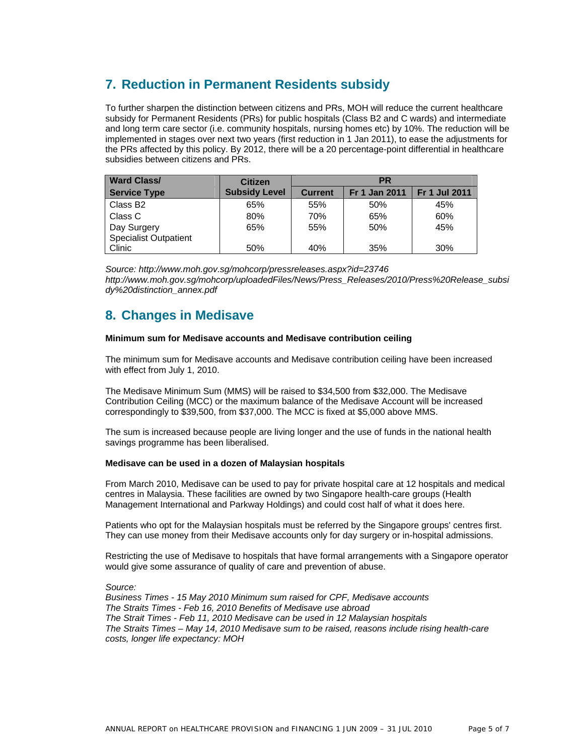# **7. Reduction in Permanent Residents subsidy**

To further sharpen the distinction between citizens and PRs, MOH will reduce the current healthcare subsidy for Permanent Residents (PRs) for public hospitals (Class B2 and C wards) and intermediate and long term care sector (i.e. community hospitals, nursing homes etc) by 10%. The reduction will be implemented in stages over next two years (first reduction in 1 Jan 2011), to ease the adjustments for the PRs affected by this policy. By 2012, there will be a 20 percentage-point differential in healthcare subsidies between citizens and PRs.

| <b>Ward Class/</b>                          | <b>Citizen</b>       | <b>PR</b>      |                      |                      |  |
|---------------------------------------------|----------------------|----------------|----------------------|----------------------|--|
| <b>Service Type</b>                         | <b>Subsidy Level</b> | <b>Current</b> | <b>Fr 1 Jan 2011</b> | <b>Fr 1 Jul 2011</b> |  |
| Class B <sub>2</sub>                        | 65%                  | 55%            | 50%                  | 45%                  |  |
| Class C                                     | 80%                  | 70%            | 65%                  | 60%                  |  |
| Day Surgery<br><b>Specialist Outpatient</b> | 65%                  | 55%            | 50%                  | 45%                  |  |
| Clinic                                      | 50%                  | 40%            | 35%                  | 30%                  |  |

*Source: http://www.moh.gov.sg/mohcorp/pressreleases.aspx?id=23746 http://www.moh.gov.sg/mohcorp/uploadedFiles/News/Press\_Releases/2010/Press%20Release\_subsi dy%20distinction\_annex.pdf* 

## **8. Changes in Medisave**

### **Minimum sum for Medisave accounts and Medisave contribution ceiling**

The minimum sum for Medisave accounts and Medisave contribution ceiling have been increased with effect from July 1, 2010.

The Medisave Minimum Sum (MMS) will be raised to \$34,500 from \$32,000. The Medisave Contribution Ceiling (MCC) or the maximum balance of the Medisave Account will be increased correspondingly to \$39,500, from \$37,000. The MCC is fixed at \$5,000 above MMS.

The sum is increased because people are living longer and the use of funds in the national health savings programme has been liberalised.

### **Medisave can be used in a dozen of Malaysian hospitals**

From March 2010, Medisave can be used to pay for private hospital care at 12 hospitals and medical centres in Malaysia. These facilities are owned by two Singapore health-care groups (Health Management International and Parkway Holdings) and could cost half of what it does here.

Patients who opt for the Malaysian hospitals must be referred by the Singapore groups' centres first. They can use money from their Medisave accounts only for day surgery or in-hospital admissions.

Restricting the use of Medisave to hospitals that have formal arrangements with a Singapore operator would give some assurance of quality of care and prevention of abuse.

*Source: Business Times - 15 May 2010 Minimum sum raised for CPF, Medisave accounts The Straits Times - Feb 16, 2010 Benefits of Medisave use abroad The Strait Times - Feb 11, 2010 Medisave can be used in 12 Malaysian hospitals The Straits Times – May 14, 2010 Medisave sum to be raised, reasons include rising health-care costs, longer life expectancy: MOH*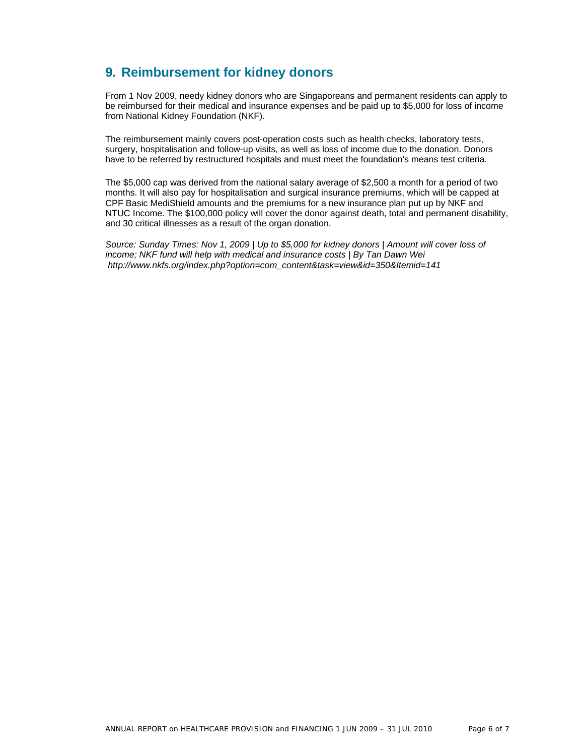# **9. Reimbursement for kidney donors**

From 1 Nov 2009, needy kidney donors who are Singaporeans and permanent residents can apply to be reimbursed for their medical and insurance expenses and be paid up to \$5,000 for loss of income from National Kidney Foundation (NKF).

The reimbursement mainly covers post-operation costs such as health checks, laboratory tests, surgery, hospitalisation and follow-up visits, as well as loss of income due to the donation. Donors have to be referred by restructured hospitals and must meet the foundation's means test criteria.

The \$5,000 cap was derived from the national salary average of \$2,500 a month for a period of two months. It will also pay for hospitalisation and surgical insurance premiums, which will be capped at CPF Basic MediShield amounts and the premiums for a new insurance plan put up by NKF and NTUC Income. The \$100,000 policy will cover the donor against death, total and permanent disability, and 30 critical illnesses as a result of the organ donation.

*Source: Sunday Times: Nov 1, 2009 | Up to \$5,000 for kidney donors | Amount will cover loss of income; NKF fund will help with medical and insurance costs | By Tan Dawn Wei http://www.nkfs.org/index.php?option=com\_content&task=view&id=350&Itemid=141*